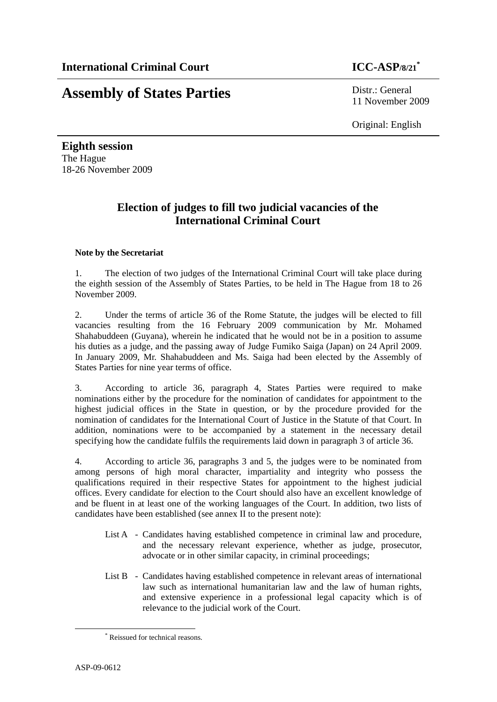# **Assembly of States Parties** Distr.: General

11 November 2009

Original: English

**Eighth session**  The Hague 18-26 November 2009

### **Election of judges to fill two judicial vacancies of the International Criminal Court**

#### **Note by the Secretariat**

1. The election of two judges of the International Criminal Court will take place during the eighth session of the Assembly of States Parties, to be held in The Hague from 18 to 26 November 2009.

2. Under the terms of article 36 of the Rome Statute, the judges will be elected to fill vacancies resulting from the 16 February 2009 communication by Mr. Mohamed Shahabuddeen (Guyana), wherein he indicated that he would not be in a position to assume his duties as a judge, and the passing away of Judge Fumiko Saiga (Japan) on 24 April 2009. In January 2009, Mr. Shahabuddeen and Ms. Saiga had been elected by the Assembly of States Parties for nine year terms of office.

3. According to article 36, paragraph 4, States Parties were required to make nominations either by the procedure for the nomination of candidates for appointment to the highest judicial offices in the State in question, or by the procedure provided for the nomination of candidates for the International Court of Justice in the Statute of that Court. In addition, nominations were to be accompanied by a statement in the necessary detail specifying how the candidate fulfils the requirements laid down in paragraph 3 of article 36.

4. According to article 36, paragraphs 3 and 5, the judges were to be nominated from among persons of high moral character, impartiality and integrity who possess the qualifications required in their respective States for appointment to the highest judicial offices. Every candidate for election to the Court should also have an excellent knowledge of and be fluent in at least one of the working languages of the Court. In addition, two lists of candidates have been established (see annex II to the present note):

- List A Candidates having established competence in criminal law and procedure, and the necessary relevant experience, whether as judge, prosecutor, advocate or in other similar capacity, in criminal proceedings;
- List B Candidates having established competence in relevant areas of international law such as international humanitarian law and the law of human rights, and extensive experience in a professional legal capacity which is of relevance to the judicial work of the Court.

 <sup>\*</sup> Reissued for technical reasons.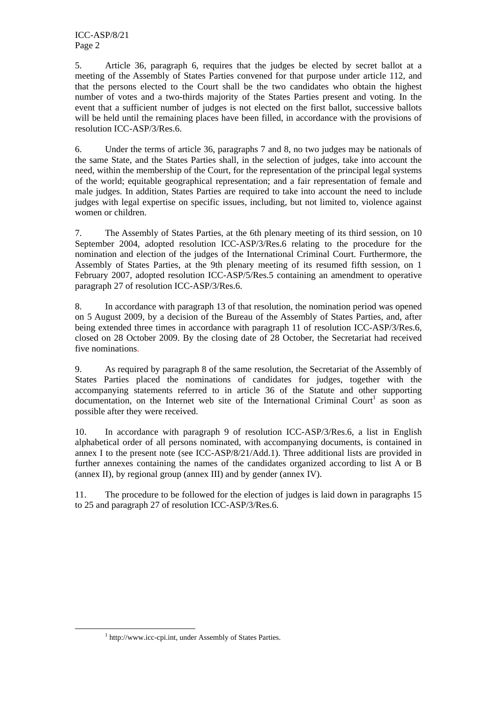ICC-ASP/8/21 Page 2

5. Article 36, paragraph 6, requires that the judges be elected by secret ballot at a meeting of the Assembly of States Parties convened for that purpose under article 112, and that the persons elected to the Court shall be the two candidates who obtain the highest number of votes and a two-thirds majority of the States Parties present and voting. In the event that a sufficient number of judges is not elected on the first ballot, successive ballots will be held until the remaining places have been filled, in accordance with the provisions of resolution ICC-ASP/3/Res.6.

6. Under the terms of article 36, paragraphs 7 and 8, no two judges may be nationals of the same State, and the States Parties shall, in the selection of judges, take into account the need, within the membership of the Court, for the representation of the principal legal systems of the world; equitable geographical representation; and a fair representation of female and male judges. In addition, States Parties are required to take into account the need to include judges with legal expertise on specific issues, including, but not limited to, violence against women or children.

7. The Assembly of States Parties, at the 6th plenary meeting of its third session, on 10 September 2004, adopted resolution ICC-ASP/3/Res.6 relating to the procedure for the nomination and election of the judges of the International Criminal Court. Furthermore, the Assembly of States Parties, at the 9th plenary meeting of its resumed fifth session, on 1 February 2007, adopted resolution ICC-ASP/5/Res.5 containing an amendment to operative paragraph 27 of resolution ICC-ASP/3/Res.6.

8. In accordance with paragraph 13 of that resolution, the nomination period was opened on 5 August 2009, by a decision of the Bureau of the Assembly of States Parties, and, after being extended three times in accordance with paragraph 11 of resolution ICC-ASP/3/Res.6, closed on 28 October 2009. By the closing date of 28 October, the Secretariat had received five nominations.

9. As required by paragraph 8 of the same resolution, the Secretariat of the Assembly of States Parties placed the nominations of candidates for judges, together with the accompanying statements referred to in article 36 of the Statute and other supporting documentation, on the Internet web site of the International Criminal Court<sup>1</sup> as soon as possible after they were received.

10. In accordance with paragraph 9 of resolution ICC-ASP/3/Res.6, a list in English alphabetical order of all persons nominated, with accompanying documents, is contained in annex I to the present note (see ICC-ASP/8/21/Add.1). Three additional lists are provided in further annexes containing the names of the candidates organized according to list A or B (annex II), by regional group (annex III) and by gender (annex IV).

11. The procedure to be followed for the election of judges is laid down in paragraphs 15 to 25 and paragraph 27 of resolution ICC-ASP/3/Res.6.

 $\frac{1}{1}$ <sup>1</sup> http://www.icc-cpi.int, under Assembly of States Parties.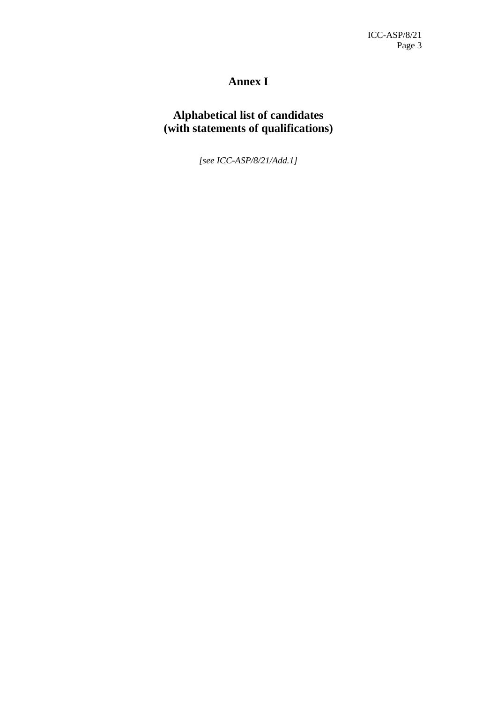# **Annex I**

### **Alphabetical list of candidates (with statements of qualifications)**

*[see ICC-ASP/8/21/Add.1]*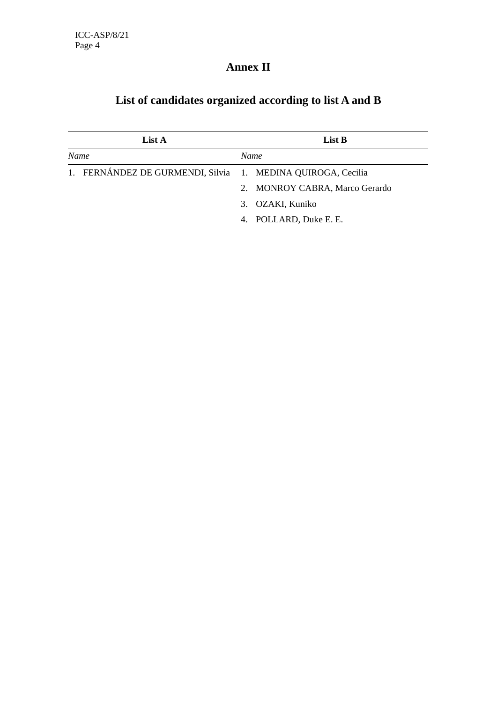# **Annex II**

| List A<br>List B |      |                                                             |
|------------------|------|-------------------------------------------------------------|
| Name             | Name |                                                             |
|                  |      |                                                             |
|                  |      | 2. MONROY CABRA, Marco Gerardo                              |
|                  |      | 3. OZAKI, Kuniko                                            |
|                  | 4.   | POLLARD, Duke E. E.                                         |
|                  |      | 1. FERNÁNDEZ DE GURMENDI, Silvia 1. MEDINA QUIROGA, Cecilia |

# **List of candidates organized according to list A and B**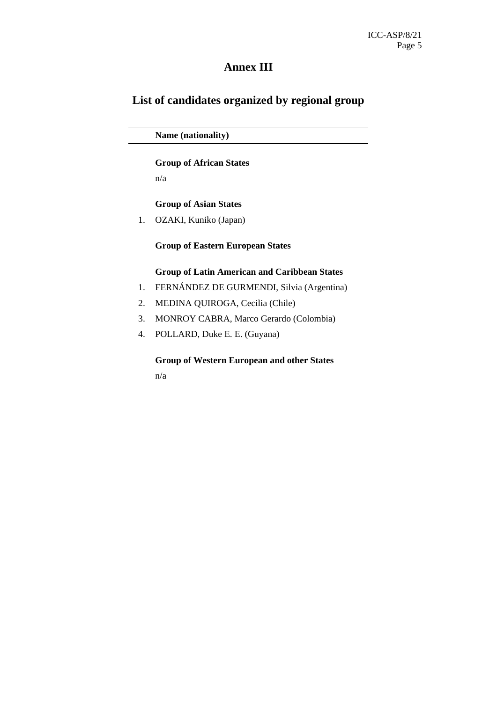### **Annex III**

### **List of candidates organized by regional group**

 **Name (nationality)** 

#### **Group of African States**

n/a

#### **Group of Asian States**

1. OZAKI, Kuniko (Japan)

#### **Group of Eastern European States**

#### **Group of Latin American and Caribbean States**

- 1. FERNÁNDEZ DE GURMENDI, Silvia (Argentina)
- 2. MEDINA QUIROGA, Cecilia (Chile)
- 3. MONROY CABRA, Marco Gerardo (Colombia)
- 4. POLLARD, Duke E. E. (Guyana)

 **Group of Western European and other States**

n/a